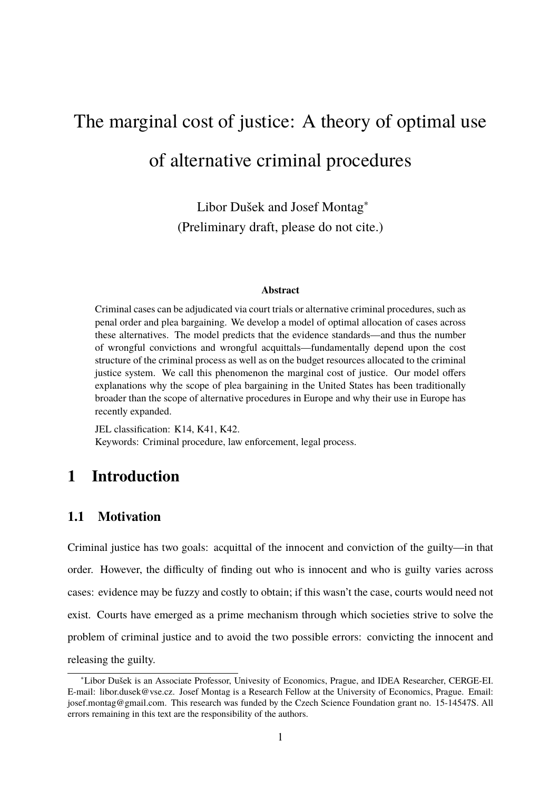# The marginal cost of justice: A theory of optimal use of alternative criminal procedures

Libor Dušek and Josef Montag<sup>∗</sup> (Preliminary draft, please do not cite.)

#### **Abstract**

Criminal cases can be adjudicated via court trials or alternative criminal procedures, such as penal order and plea bargaining. We develop a model of optimal allocation of cases across these alternatives. The model predicts that the evidence standards—and thus the number of wrongful convictions and wrongful acquittals—fundamentally depend upon the cost structure of the criminal process as well as on the budget resources allocated to the criminal justice system. We call this phenomenon the marginal cost of justice. Our model offers explanations why the scope of plea bargaining in the United States has been traditionally broader than the scope of alternative procedures in Europe and why their use in Europe has recently expanded.

JEL classification: K14, K41, K42. Keywords: Criminal procedure, law enforcement, legal process.

## **1 Introduction**

## **1.1 Motivation**

Criminal justice has two goals: acquittal of the innocent and conviction of the guilty—in that order. However, the difficulty of finding out who is innocent and who is guilty varies across cases: evidence may be fuzzy and costly to obtain; if this wasn't the case, courts would need not exist. Courts have emerged as a prime mechanism through which societies strive to solve the problem of criminal justice and to avoid the two possible errors: convicting the innocent and releasing the guilty.

<sup>∗</sup>Libor Dušek is an Associate Professor, Univesity of Economics, Prague, and IDEA Researcher, CERGE-EI. E-mail: libor.dusek@vse.cz. Josef Montag is a Research Fellow at the University of Economics, Prague. Email: josef.montag@gmail.com. This research was funded by the Czech Science Foundation grant no. 15-14547S. All errors remaining in this text are the responsibility of the authors.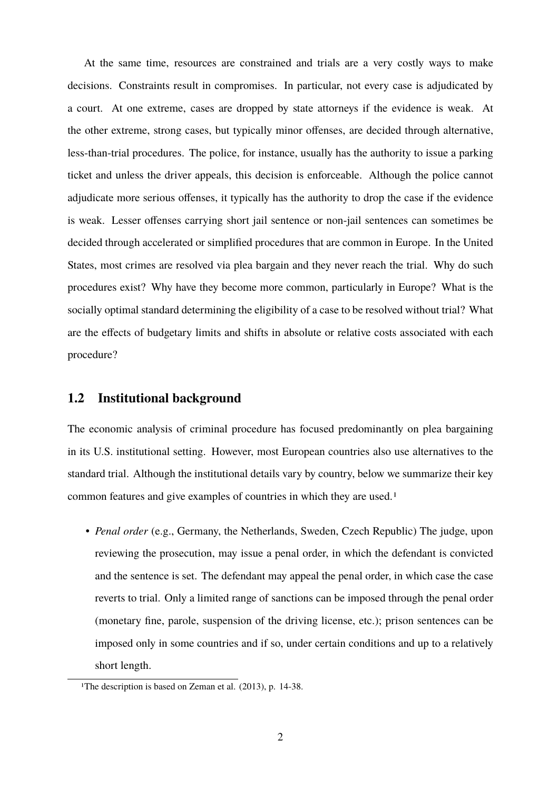At the same time, resources are constrained and trials are a very costly ways to make decisions. Constraints result in compromises. In particular, not every case is adjudicated by a court. At one extreme, cases are dropped by state attorneys if the evidence is weak. At the other extreme, strong cases, but typically minor offenses, are decided through alternative, less-than-trial procedures. The police, for instance, usually has the authority to issue a parking ticket and unless the driver appeals, this decision is enforceable. Although the police cannot adjudicate more serious offenses, it typically has the authority to drop the case if the evidence is weak. Lesser offenses carrying short jail sentence or non-jail sentences can sometimes be decided through accelerated or simplified procedures that are common in Europe. In the United States, most crimes are resolved via plea bargain and they never reach the trial. Why do such procedures exist? Why have they become more common, particularly in Europe? What is the socially optimal standard determining the eligibility of a case to be resolved without trial? What are the effects of budgetary limits and shifts in absolute or relative costs associated with each procedure?

## **1.2 Institutional background**

The economic analysis of criminal procedure has focused predominantly on plea bargaining in its U.S. institutional setting. However, most European countries also use alternatives to the standard trial. Although the institutional details vary by country, below we summarize their key common features and give examples of countries in which they are used.1

• *Penal order* (e.g., Germany, the Netherlands, Sweden, Czech Republic) The judge, upon reviewing the prosecution, may issue a penal order, in which the defendant is convicted and the sentence is set. The defendant may appeal the penal order, in which case the case reverts to trial. Only a limited range of sanctions can be imposed through the penal order (monetary fine, parole, suspension of the driving license, etc.); prison sentences can be imposed only in some countries and if so, under certain conditions and up to a relatively short length.

<sup>&</sup>lt;sup>1</sup>The description is based on Zeman et al. (2013), p. 14-38.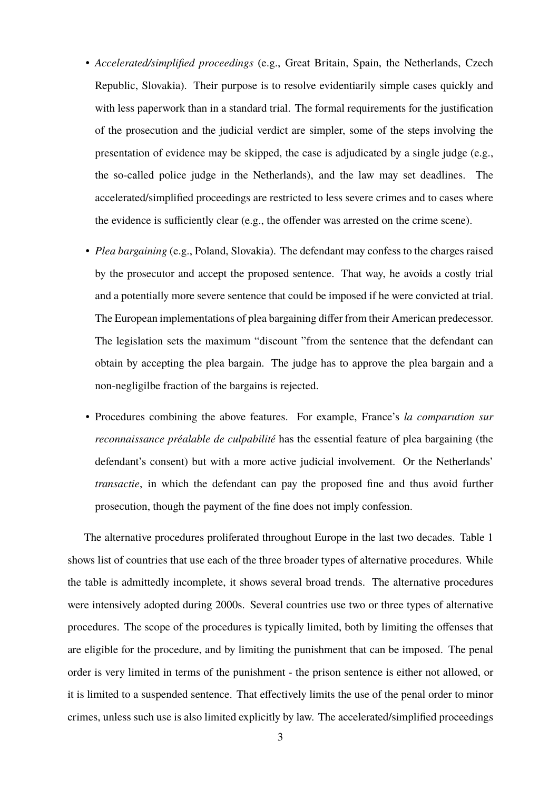- *Accelerated/simplified proceedings* (e.g., Great Britain, Spain, the Netherlands, Czech Republic, Slovakia). Their purpose is to resolve evidentiarily simple cases quickly and with less paperwork than in a standard trial. The formal requirements for the justification of the prosecution and the judicial verdict are simpler, some of the steps involving the presentation of evidence may be skipped, the case is adjudicated by a single judge (e.g., the so-called police judge in the Netherlands), and the law may set deadlines. The accelerated/simplified proceedings are restricted to less severe crimes and to cases where the evidence is sufficiently clear (e.g., the offender was arrested on the crime scene).
- *Plea bargaining* (e.g., Poland, Slovakia). The defendant may confess to the charges raised by the prosecutor and accept the proposed sentence. That way, he avoids a costly trial and a potentially more severe sentence that could be imposed if he were convicted at trial. The European implementations of plea bargaining differ from their American predecessor. The legislation sets the maximum "discount "from the sentence that the defendant can obtain by accepting the plea bargain. The judge has to approve the plea bargain and a non-negligilbe fraction of the bargains is rejected.
- Procedures combining the above features. For example, France's *la comparution sur reconnaissance préalable de culpabilité* has the essential feature of plea bargaining (the defendant's consent) but with a more active judicial involvement. Or the Netherlands' *transactie*, in which the defendant can pay the proposed fine and thus avoid further prosecution, though the payment of the fine does not imply confession.

The alternative procedures proliferated throughout Europe in the last two decades. Table 1 shows list of countries that use each of the three broader types of alternative procedures. While the table is admittedly incomplete, it shows several broad trends. The alternative procedures were intensively adopted during 2000s. Several countries use two or three types of alternative procedures. The scope of the procedures is typically limited, both by limiting the offenses that are eligible for the procedure, and by limiting the punishment that can be imposed. The penal order is very limited in terms of the punishment - the prison sentence is either not allowed, or it is limited to a suspended sentence. That effectively limits the use of the penal order to minor crimes, unless such use is also limited explicitly by law. The accelerated/simplified proceedings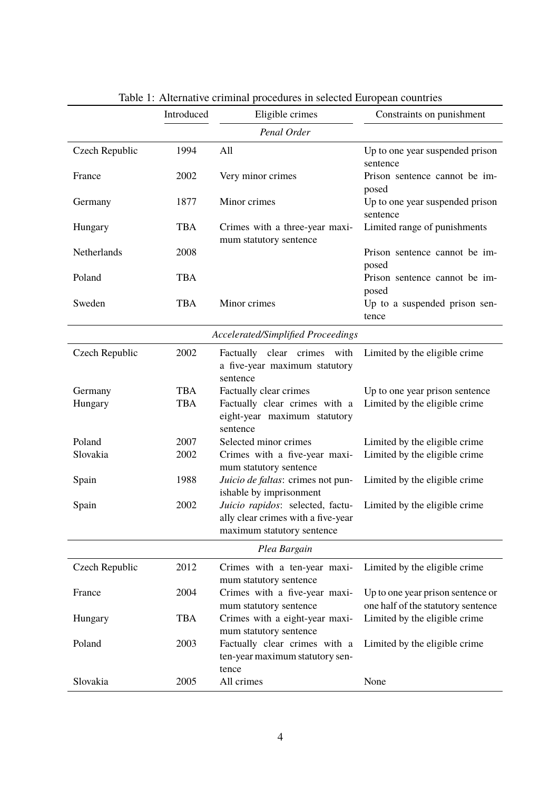|                                    | Introduced | Eligible crimes                                                                                      | Constraints on punishment                                               |
|------------------------------------|------------|------------------------------------------------------------------------------------------------------|-------------------------------------------------------------------------|
| Penal Order                        |            |                                                                                                      |                                                                         |
| Czech Republic                     | 1994       | All                                                                                                  | Up to one year suspended prison<br>sentence                             |
| France                             | 2002       | Very minor crimes                                                                                    | Prison sentence cannot be im-<br>posed                                  |
| Germany                            | 1877       | Minor crimes                                                                                         | Up to one year suspended prison<br>sentence                             |
| Hungary                            | <b>TBA</b> | Crimes with a three-year maxi-<br>mum statutory sentence                                             | Limited range of punishments                                            |
| Netherlands                        | 2008       |                                                                                                      | Prison sentence cannot be im-<br>posed                                  |
| Poland                             | <b>TBA</b> |                                                                                                      | Prison sentence cannot be im-<br>posed                                  |
| Sweden                             | <b>TBA</b> | Minor crimes                                                                                         | Up to a suspended prison sen-<br>tence                                  |
| Accelerated/Simplified Proceedings |            |                                                                                                      |                                                                         |
| Czech Republic                     | 2002       | Factually clear crimes<br>with<br>a five-year maximum statutory<br>sentence                          | Limited by the eligible crime                                           |
| Germany                            | <b>TBA</b> | Factually clear crimes                                                                               | Up to one year prison sentence                                          |
| Hungary                            | <b>TBA</b> | Factually clear crimes with a<br>eight-year maximum statutory<br>sentence                            | Limited by the eligible crime                                           |
| Poland                             | 2007       | Selected minor crimes                                                                                | Limited by the eligible crime                                           |
| Slovakia                           | 2002       | Crimes with a five-year maxi-<br>mum statutory sentence                                              | Limited by the eligible crime                                           |
| Spain                              | 1988       | Juicio de faltas: crimes not pun-<br>ishable by imprisonment                                         | Limited by the eligible crime                                           |
| Spain                              | 2002       | Juicio rapidos: selected, factu-<br>ally clear crimes with a five-year<br>maximum statutory sentence | Limited by the eligible crime                                           |
| Plea Bargain                       |            |                                                                                                      |                                                                         |
| Czech Republic                     | 2012       | Crimes with a ten-year maxi-<br>mum statutory sentence                                               | Limited by the eligible crime                                           |
| France                             | 2004       | Crimes with a five-year maxi-<br>mum statutory sentence                                              | Up to one year prison sentence or<br>one half of the statutory sentence |
| Hungary                            | <b>TBA</b> | Crimes with a eight-year maxi-<br>mum statutory sentence                                             | Limited by the eligible crime                                           |
| Poland                             | 2003       | Factually clear crimes with a<br>ten-year maximum statutory sen-<br>tence                            | Limited by the eligible crime                                           |
| Slovakia                           | 2005       | All crimes                                                                                           | None                                                                    |

## Table 1: Alternative criminal procedures in selected European countries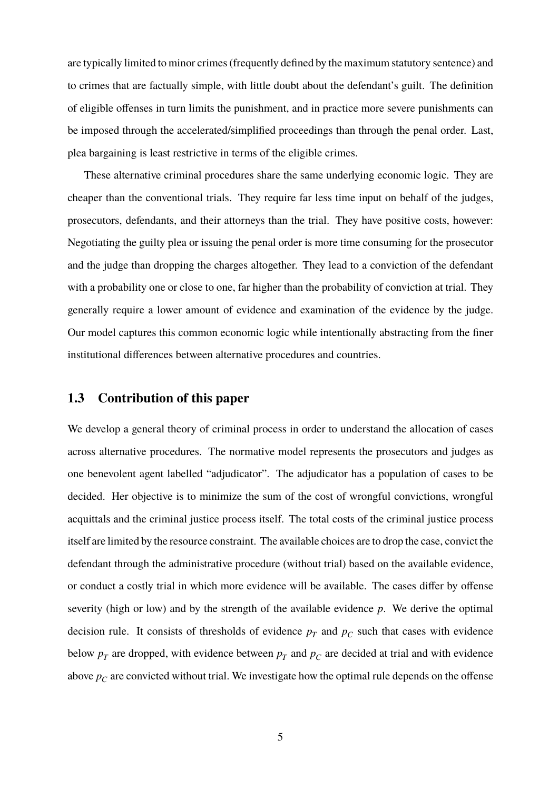are typically limited to minor crimes (frequently defined by the maximum statutory sentence) and to crimes that are factually simple, with little doubt about the defendant's guilt. The definition of eligible offenses in turn limits the punishment, and in practice more severe punishments can be imposed through the accelerated/simplified proceedings than through the penal order. Last, plea bargaining is least restrictive in terms of the eligible crimes.

These alternative criminal procedures share the same underlying economic logic. They are cheaper than the conventional trials. They require far less time input on behalf of the judges, prosecutors, defendants, and their attorneys than the trial. They have positive costs, however: Negotiating the guilty plea or issuing the penal order is more time consuming for the prosecutor and the judge than dropping the charges altogether. They lead to a conviction of the defendant with a probability one or close to one, far higher than the probability of conviction at trial. They generally require a lower amount of evidence and examination of the evidence by the judge. Our model captures this common economic logic while intentionally abstracting from the finer institutional differences between alternative procedures and countries.

#### **1.3 Contribution of this paper**

We develop a general theory of criminal process in order to understand the allocation of cases across alternative procedures. The normative model represents the prosecutors and judges as one benevolent agent labelled "adjudicator". The adjudicator has a population of cases to be decided. Her objective is to minimize the sum of the cost of wrongful convictions, wrongful acquittals and the criminal justice process itself. The total costs of the criminal justice process itself are limited by the resource constraint. The available choices are to drop the case, convict the defendant through the administrative procedure (without trial) based on the available evidence, or conduct a costly trial in which more evidence will be available. The cases differ by offense severity (high or low) and by the strength of the available evidence *p*. We derive the optimal decision rule. It consists of thresholds of evidence  $p_T$  and  $p_C$  such that cases with evidence below  $p_T$  are dropped, with evidence between  $p_T$  and  $p_C$  are decided at trial and with evidence above  $p_C$  are convicted without trial. We investigate how the optimal rule depends on the offense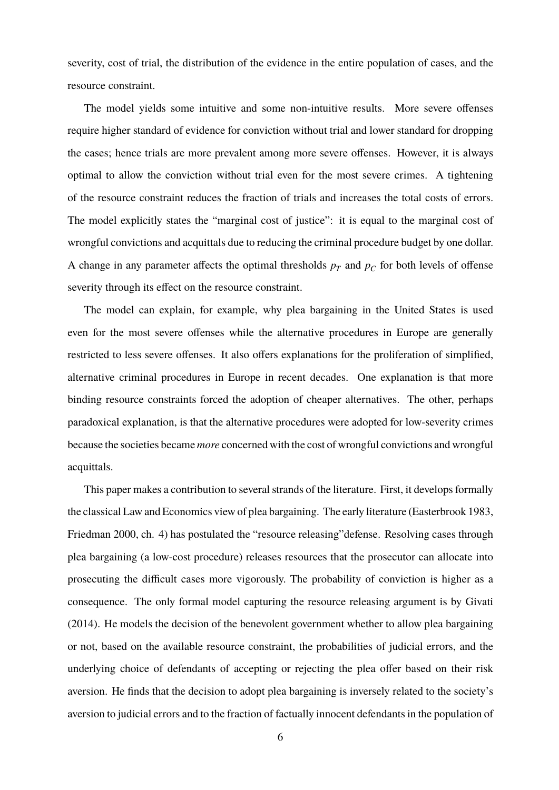severity, cost of trial, the distribution of the evidence in the entire population of cases, and the resource constraint.

The model yields some intuitive and some non-intuitive results. More severe offenses require higher standard of evidence for conviction without trial and lower standard for dropping the cases; hence trials are more prevalent among more severe offenses. However, it is always optimal to allow the conviction without trial even for the most severe crimes. A tightening of the resource constraint reduces the fraction of trials and increases the total costs of errors. The model explicitly states the "marginal cost of justice": it is equal to the marginal cost of wrongful convictions and acquittals due to reducing the criminal procedure budget by one dollar. A change in any parameter affects the optimal thresholds  $p_T$  and  $p_C$  for both levels of offense severity through its effect on the resource constraint.

The model can explain, for example, why plea bargaining in the United States is used even for the most severe offenses while the alternative procedures in Europe are generally restricted to less severe offenses. It also offers explanations for the proliferation of simplified, alternative criminal procedures in Europe in recent decades. One explanation is that more binding resource constraints forced the adoption of cheaper alternatives. The other, perhaps paradoxical explanation, is that the alternative procedures were adopted for low-severity crimes because the societies became *more* concerned with the cost of wrongful convictions and wrongful acquittals.

This paper makes a contribution to several strands of the literature. First, it develops formally the classical Law and Economics view of plea bargaining. The early literature (Easterbrook 1983, Friedman 2000, ch. 4) has postulated the "resource releasing"defense. Resolving cases through plea bargaining (a low-cost procedure) releases resources that the prosecutor can allocate into prosecuting the difficult cases more vigorously. The probability of conviction is higher as a consequence. The only formal model capturing the resource releasing argument is by Givati (2014). He models the decision of the benevolent government whether to allow plea bargaining or not, based on the available resource constraint, the probabilities of judicial errors, and the underlying choice of defendants of accepting or rejecting the plea offer based on their risk aversion. He finds that the decision to adopt plea bargaining is inversely related to the society's aversion to judicial errors and to the fraction of factually innocent defendants in the population of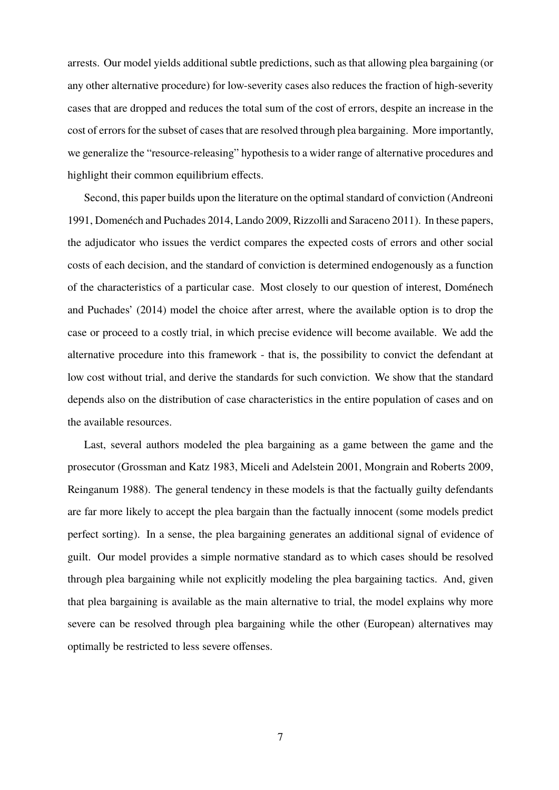arrests. Our model yields additional subtle predictions, such as that allowing plea bargaining (or any other alternative procedure) for low-severity cases also reduces the fraction of high-severity cases that are dropped and reduces the total sum of the cost of errors, despite an increase in the cost of errors for the subset of cases that are resolved through plea bargaining. More importantly, we generalize the "resource-releasing" hypothesis to a wider range of alternative procedures and highlight their common equilibrium effects.

Second, this paper builds upon the literature on the optimal standard of conviction (Andreoni 1991, Domenéch and Puchades 2014, Lando 2009, Rizzolli and Saraceno 2011). In these papers, the adjudicator who issues the verdict compares the expected costs of errors and other social costs of each decision, and the standard of conviction is determined endogenously as a function of the characteristics of a particular case. Most closely to our question of interest, Doménech and Puchades' (2014) model the choice after arrest, where the available option is to drop the case or proceed to a costly trial, in which precise evidence will become available. We add the alternative procedure into this framework - that is, the possibility to convict the defendant at low cost without trial, and derive the standards for such conviction. We show that the standard depends also on the distribution of case characteristics in the entire population of cases and on the available resources.

Last, several authors modeled the plea bargaining as a game between the game and the prosecutor (Grossman and Katz 1983, Miceli and Adelstein 2001, Mongrain and Roberts 2009, Reinganum 1988). The general tendency in these models is that the factually guilty defendants are far more likely to accept the plea bargain than the factually innocent (some models predict perfect sorting). In a sense, the plea bargaining generates an additional signal of evidence of guilt. Our model provides a simple normative standard as to which cases should be resolved through plea bargaining while not explicitly modeling the plea bargaining tactics. And, given that plea bargaining is available as the main alternative to trial, the model explains why more severe can be resolved through plea bargaining while the other (European) alternatives may optimally be restricted to less severe offenses.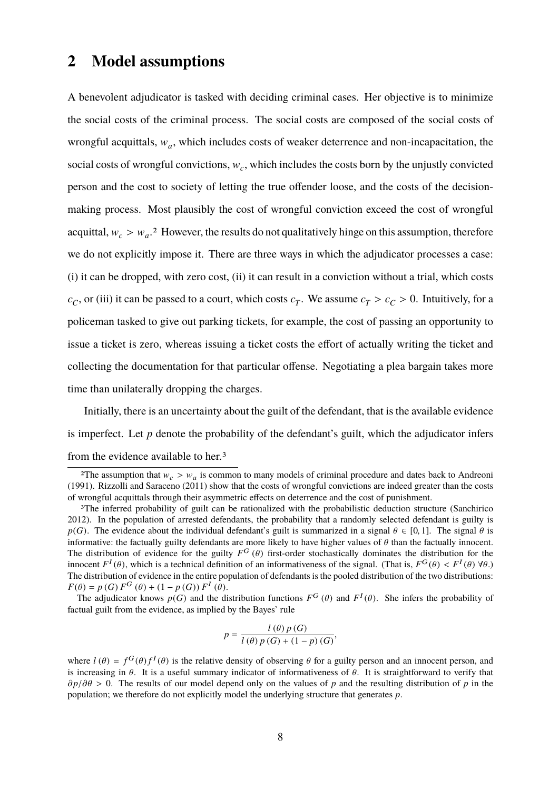## **2 Model assumptions**

A benevolent adjudicator is tasked with deciding criminal cases. Her objective is to minimize the social costs of the criminal process. The social costs are composed of the social costs of wrongful acquittals,  $w_a$ , which includes costs of weaker deterrence and non-incapacitation, the social costs of wrongful convictions,  $w_c$ , which includes the costs born by the unjustly convicted person and the cost to society of letting the true offender loose, and the costs of the decisionmaking process. Most plausibly the cost of wrongful conviction exceed the cost of wrongful acquittal,  $w_c > w_a$ <sup>2</sup>. However, the results do not qualitatively hinge on this assumption, therefore we do not explicitly impose it. There are three ways in which the adjudicator processes a case: (i) it can be dropped, with zero cost, (ii) it can result in a conviction without a trial, which costs  $c_C$ , or (iii) it can be passed to a court, which costs  $c_T$ . We assume  $c_T > c_C > 0$ . Intuitively, for a policeman tasked to give out parking tickets, for example, the cost of passing an opportunity to issue a ticket is zero, whereas issuing a ticket costs the effort of actually writing the ticket and collecting the documentation for that particular offense. Negotiating a plea bargain takes more time than unilaterally dropping the charges.

Initially, there is an uncertainty about the guilt of the defendant, that is the available evidence is imperfect. Let *p* denote the probability of the defendant's guilt, which the adjudicator infers from the evidence available to her.3

*F*( $\theta$ ) = *p*(*G*) *F*<sup>G</sup>( $\theta$ ) + (1 - *p*(*G*)) *F*<sup>I</sup>( $\theta$ ).<br>The adjudicator knows *p*(*G*) and the distribution functions *F<sup>G</sup>*( $\theta$ ) and *F*<sup>I</sup>( $\theta$ ). She infers the probability of factual quilt from the evidence a factual guilt from the evidence, as implied by the Bayes' rule

$$
p = \frac{l(\theta) p(G)}{l(\theta) p(G) + (1 - p)(G)},
$$

<sup>&</sup>lt;sup>2</sup>The assumption that  $w_c > w_a$  is common to many models of criminal procedure and dates back to Andreonia.<br>
<sup>911</sup> Bizzolli and Saraceno (2011) show that the costs of wrongful convictions are indeed greater than the costs (1991). Rizzolli and Saraceno (2011) show that the costs of wrongful convictions are indeed greater than the costs of wrongful acquittals through their asymmetric effects on deterrence and the cost of punishment.

<sup>&</sup>lt;sup>3</sup>The inferred probability of guilt can be rationalized with the probabilistic deduction structure (Sanchirico 2012). In the population of arrested defendants, the probability that a randomly selected defendant is guilty is *p*(*G*). The evidence about the individual defendant's guilt is summarized in a signal  $\theta \in [0, 1]$ . The signal  $\theta$  is informative: the factually guilty defendants are more likely to have higher values of  $\theta$  than the informative: the factually guilty defendants are more likely to have higher values of  $\theta$  than the factually innocent.<br>The distribution of evidence for the guilty  $F^G(\theta)$  first-order stochastically dominates the distrib innocent  $F^I(\theta)$ , which is a technical definition of an informativeness of the signal. (That is,  $F^G(\theta) < F^I(\theta) \forall \theta$ .)<br>The distribution of evidence in the entire population of defendants is the pooled distribution of the The distribution of evidence in the entire population of defendants is the pooled distribution of the two distributions:  $G(\theta) + (1 - p(G)) F^I$ <br>for knows  $p(G)$  and the

where  $l(\theta) = f^G(\theta) f^I(\theta)$  is the relative density of observing  $\theta$  for a guilty person and an innocent person, and<br>is increasing in  $\theta$ . It is a useful summary indicator of informativeness of  $\theta$ . It is straightforward is increasing in  $\theta$ . It is a useful summary indicator of informativeness of  $\theta$ . It is straightforward to verify that ∂*p*/∂θ > 0. The results of our model depend only on the values of *<sup>p</sup>* and the resulting distribution of *<sup>p</sup>* in the population; we therefore do not explicitly model the underlying structure that generates *p*.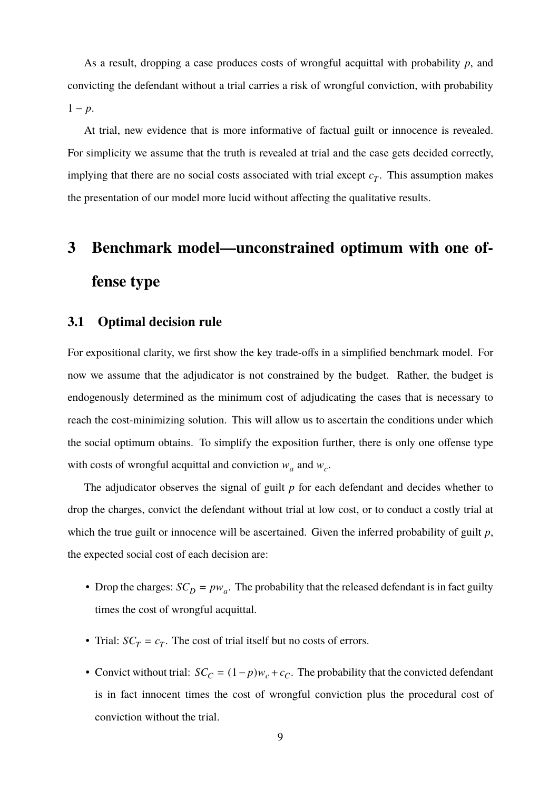As a result, dropping a case produces costs of wrongful acquittal with probability *p*, and convicting the defendant without a trial carries a risk of wrongful conviction, with probability  $1 - p$ .

At trial, new evidence that is more informative of factual guilt or innocence is revealed. For simplicity we assume that the truth is revealed at trial and the case gets decided correctly, implying that there are no social costs associated with trial except  $c_T$ . This assumption makes the presentation of our model more lucid without affecting the qualitative results.

## **3 Benchmark model—unconstrained optimum with one offense type**

#### **3.1 Optimal decision rule**

For expositional clarity, we first show the key trade-offs in a simplified benchmark model. For now we assume that the adjudicator is not constrained by the budget. Rather, the budget is endogenously determined as the minimum cost of adjudicating the cases that is necessary to reach the cost-minimizing solution. This will allow us to ascertain the conditions under which the social optimum obtains. To simplify the exposition further, there is only one offense type with costs of wrongful acquittal and conviction  $w_a$  and  $w_c$ .

The adjudicator observes the signal of guilt *p* for each defendant and decides whether to drop the charges, convict the defendant without trial at low cost, or to conduct a costly trial at which the true guilt or innocence will be ascertained. Given the inferred probability of guilt *p*, the expected social cost of each decision are:

- Drop the charges:  $SC_D = pw_a$ . The probability that the released defendant is in fact guilty times the cost of wrongful acquittal.
- Trial:  $SC_T = c_T$ . The cost of trial itself but no costs of errors.
- Convict without trial:  $SC_C = (1-p)w_c + c_C$ . The probability that the convicted defendant is in fact innocent times the cost of wrongful conviction plus the procedural cost of conviction without the trial.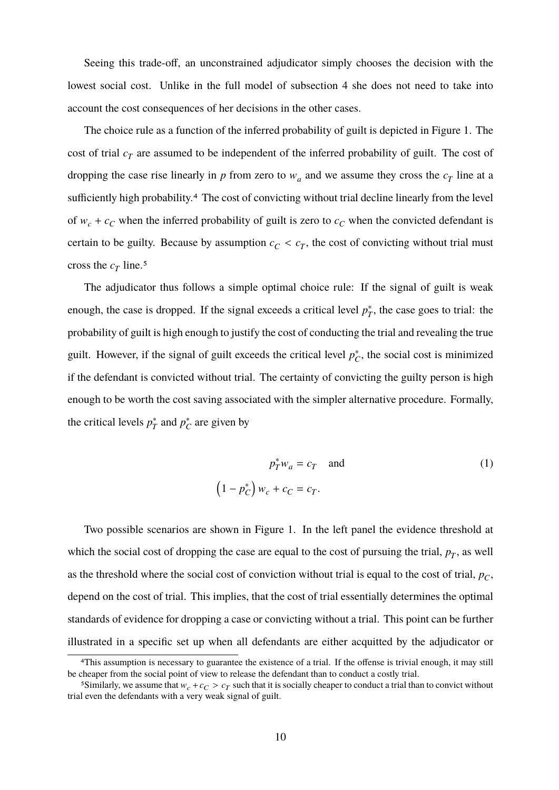Seeing this trade-off, an unconstrained adjudicator simply chooses the decision with the lowest social cost. Unlike in the full model of subsection 4 she does not need to take into account the cost consequences of her decisions in the other cases.

The choice rule as a function of the inferred probability of guilt is depicted in Figure 1. The cost of trial *c<sup>T</sup>* are assumed to be independent of the inferred probability of guilt. The cost of dropping the case rise linearly in  $p$  from zero to  $w_a$  and we assume they cross the  $c_T$  line at a sufficiently high probability.<sup>4</sup> The cost of convicting without trial decline linearly from the level of  $w_c + c_c$  when the inferred probability of guilt is zero to  $c_c$  when the convicted defendant is certain to be guilty. Because by assumption  $c_C < c_T$ , the cost of convicting without trial must cross the  $c_T$  line.<sup>5</sup>

The adjudicator thus follows a simple optimal choice rule: If the signal of guilt is weak enough, the case is dropped. If the signal exceeds a critical level  $p_7^*$  $T<sub>T</sub>$ , the case goes to trial: the probability of guilt is high enough to justify the cost of conducting the trial and revealing the true guilt. However, if the signal of guilt exceeds the critical level  $p_c^*$  $^*_{C}$ , the social cost is minimized if the defendant is convicted without trial. The certainty of convicting the guilty person is high enough to be worth the cost saving associated with the simpler alternative procedure. Formally, the critical levels  $p_T^*$  $p^*$ <sub>7</sub> and  $p^*$ <sub>6</sub>  $_{C}^{*}$  are given by

$$
p_T^* w_a = c_T \quad \text{and}
$$
  

$$
\left(1 - p_C^*\right) w_c + c_C = c_T.
$$
 (1)

Two possible scenarios are shown in Figure 1. In the left panel the evidence threshold at which the social cost of dropping the case are equal to the cost of pursuing the trial,  $p<sub>T</sub>$ , as well as the threshold where the social cost of conviction without trial is equal to the cost of trial, *p<sup>C</sup>* , depend on the cost of trial. This implies, that the cost of trial essentially determines the optimal standards of evidence for dropping a case or convicting without a trial. This point can be further illustrated in a specific set up when all defendants are either acquitted by the adjudicator or

<sup>4</sup>This assumption is necessary to guarantee the existence of a trial. If the offense is trivial enough, it may still be cheaper from the social point of view to release the defendant than to conduct a costly trial.

<sup>&</sup>lt;sup>5</sup>Similarly, we assume that  $w_c + c_C > c_T$  such that it is socially cheaper to conduct a trial than to convict without leven the defendants with a very weak signal of quilt trial even the defendants with a very weak signal of guilt.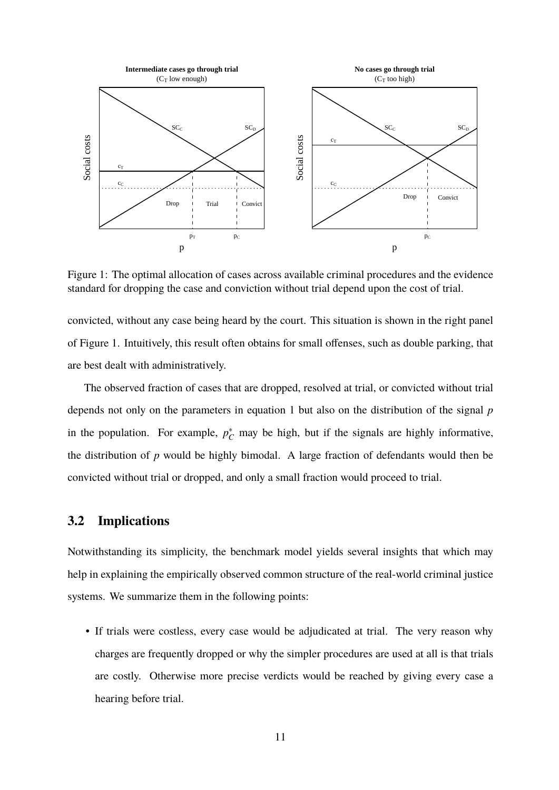

Figure 1: The optimal allocation of cases across available criminal procedures and the evidence standard for dropping the case and conviction without trial depend upon the cost of trial.

convicted, without any case being heard by the court. This situation is shown in the right panel of Figure 1. Intuitively, this result often obtains for small offenses, such as double parking, that are best dealt with administratively.

The observed fraction of cases that are dropped, resolved at trial, or convicted without trial depends not only on the parameters in equation 1 but also on the distribution of the signal *p* in the population. For example,  $p_C^*$  may be high, but if the signals are highly informative, the distribution of *p* would be highly bimodal. A large fraction of defendants would then be convicted without trial or dropped, and only a small fraction would proceed to trial.

#### **3.2 Implications**

Notwithstanding its simplicity, the benchmark model yields several insights that which may help in explaining the empirically observed common structure of the real-world criminal justice systems. We summarize them in the following points:

• If trials were costless, every case would be adjudicated at trial. The very reason why charges are frequently dropped or why the simpler procedures are used at all is that trials are costly. Otherwise more precise verdicts would be reached by giving every case a hearing before trial.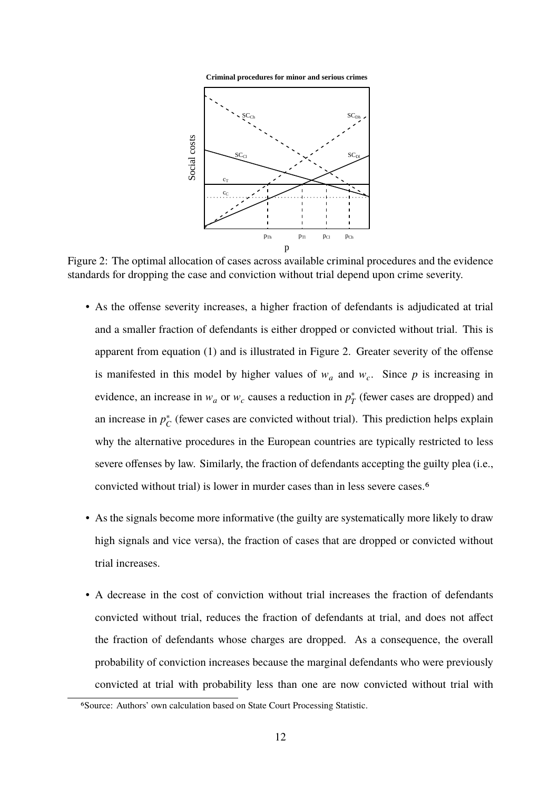



Figure 2: The optimal allocation of cases across available criminal procedures and the evidence standards for dropping the case and conviction without trial depend upon crime severity.

- As the offense severity increases, a higher fraction of defendants is adjudicated at trial and a smaller fraction of defendants is either dropped or convicted without trial. This is apparent from equation (1) and is illustrated in Figure 2. Greater severity of the offense is manifested in this model by higher values of  $w_a$  and  $w_c$ . Since p is increasing in evidence, an increase in  $w_a$  or  $w_c$  causes a reduction in  $p_7^*$  $T^*$  (fewer cases are dropped) and an increase in  $p_{\ell}^*$  $\chi^*_{C}$  (fewer cases are convicted without trial). This prediction helps explain why the alternative procedures in the European countries are typically restricted to less severe offenses by law. Similarly, the fraction of defendants accepting the guilty plea (i.e., convicted without trial) is lower in murder cases than in less severe cases.6
- As the signals become more informative (the guilty are systematically more likely to draw high signals and vice versa), the fraction of cases that are dropped or convicted without trial increases.
- A decrease in the cost of conviction without trial increases the fraction of defendants convicted without trial, reduces the fraction of defendants at trial, and does not affect the fraction of defendants whose charges are dropped. As a consequence, the overall probability of conviction increases because the marginal defendants who were previously convicted at trial with probability less than one are now convicted without trial with

<sup>6</sup>Source: Authors' own calculation based on State Court Processing Statistic.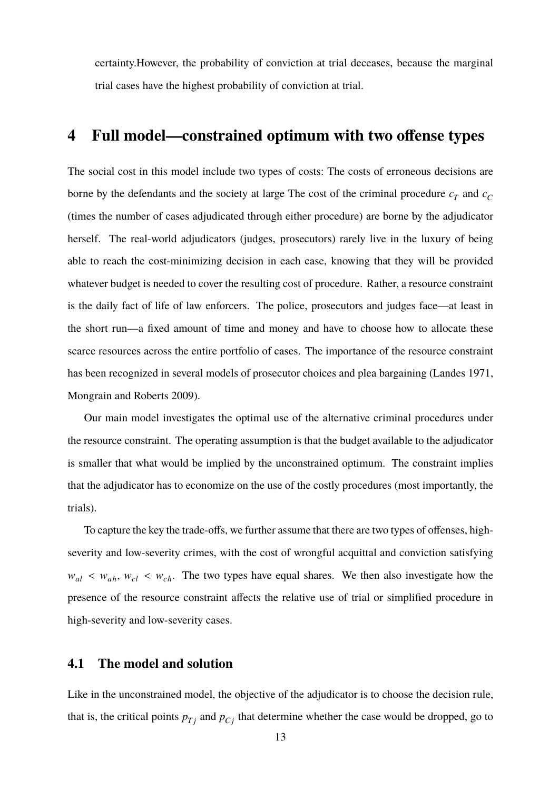certainty.However, the probability of conviction at trial deceases, because the marginal trial cases have the highest probability of conviction at trial.

## **4 Full model—constrained optimum with two offense types**

The social cost in this model include two types of costs: The costs of erroneous decisions are borne by the defendants and the society at large The cost of the criminal procedure  $c_T$  and  $c_C$ (times the number of cases adjudicated through either procedure) are borne by the adjudicator herself. The real-world adjudicators (judges, prosecutors) rarely live in the luxury of being able to reach the cost-minimizing decision in each case, knowing that they will be provided whatever budget is needed to cover the resulting cost of procedure. Rather, a resource constraint is the daily fact of life of law enforcers. The police, prosecutors and judges face—at least in the short run—a fixed amount of time and money and have to choose how to allocate these scarce resources across the entire portfolio of cases. The importance of the resource constraint has been recognized in several models of prosecutor choices and plea bargaining (Landes 1971, Mongrain and Roberts 2009).

Our main model investigates the optimal use of the alternative criminal procedures under the resource constraint. The operating assumption is that the budget available to the adjudicator is smaller that what would be implied by the unconstrained optimum. The constraint implies that the adjudicator has to economize on the use of the costly procedures (most importantly, the trials).

To capture the key the trade-offs, we further assume that there are two types of offenses, highseverity and low-severity crimes, with the cost of wrongful acquittal and conviction satisfying  $w_{al} < w_{ah}$ ,  $w_{cl} < w_{ch}$ . The two types have equal shares. We then also investigate how the presence of the resource constraint affects the relative use of trial or simplified procedure in high-severity and low-severity cases.

## **4.1 The model and solution**

Like in the unconstrained model, the objective of the adjudicator is to choose the decision rule, that is, the critical points  $p_{Tj}$  and  $p_{Cj}$  that determine whether the case would be dropped, go to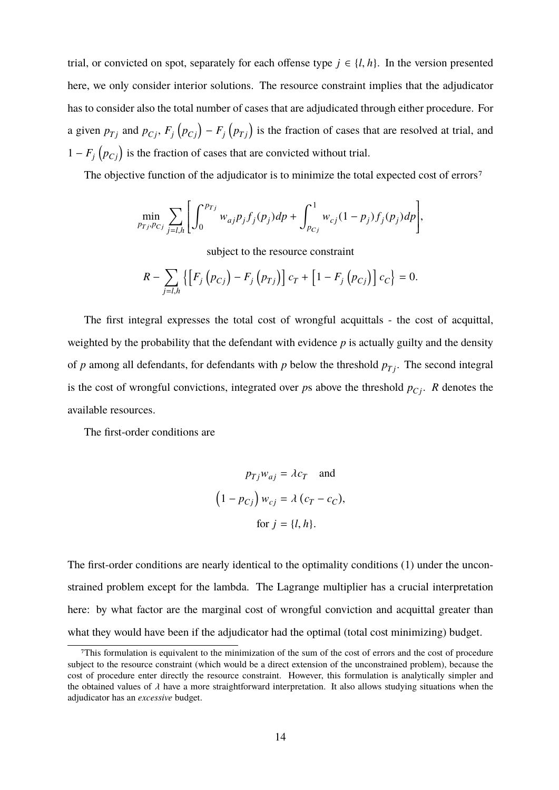trial, or convicted on spot, separately for each offense type  $j \in \{l, h\}$ . In the version presented here, we only consider interior solutions. The resource constraint implies that the adjudicator has to consider also the total number of cases that are adjudicated through either procedure. For a given  $p_{Tj}$  and  $p_{Cj}$ ,  $F_j(p_{Cj}) - F_j(p_{Tj})$  is the fraction of cases that are resolved at trial, and  $1 - F_j(p_{C_j})$  is the fraction of cases that are convicted without trial.

The objective function of the adjudicator is to minimize the total expected cost of errors<sup>7</sup>

$$
\min_{p_{Tj}, p_{Cj}} \sum_{j=l,h} \left[ \int_0^{p_{Tj}} w_{aj} p_j f_j(p_j) dp + \int_{p_{Cj}}^1 w_{cj} (1-p_j) f_j(p_j) dp \right],
$$

subject to the resource constraint

$$
R - \sum_{j=l,h} \{ \left[ F_j(p_{Cj}) - F_j(p_{Tj}) \right] c_T + \left[ 1 - F_j(p_{Cj}) \right] c_C \} = 0.
$$

The first integral expresses the total cost of wrongful acquittals - the cost of acquittal, weighted by the probability that the defendant with evidence *p* is actually guilty and the density of *p* among all defendants, for defendants with *p* below the threshold  $p_{Tj}$ . The second integral is the cost of wrongful convictions, integrated over *ps* above the threshold  $p_{Ci}$ . *R* denotes the available resources.

The first-order conditions are

$$
p_{Tj}w_{aj} = \lambda c_T \text{ and}
$$

$$
(1 - p_{Cj}) w_{cj} = \lambda (c_T - c_C),
$$

$$
\text{for } j = \{l, h\}.
$$

The first-order conditions are nearly identical to the optimality conditions (1) under the unconstrained problem except for the lambda. The Lagrange multiplier has a crucial interpretation here: by what factor are the marginal cost of wrongful conviction and acquittal greater than what they would have been if the adjudicator had the optimal (total cost minimizing) budget.

<sup>7</sup>This formulation is equivalent to the minimization of the sum of the cost of errors and the cost of procedure subject to the resource constraint (which would be a direct extension of the unconstrained problem), because the cost of procedure enter directly the resource constraint. However, this formulation is analytically simpler and the obtained values of  $\lambda$  have a more straightforward interpretation. It also allows studying situations when the adjudicator has an *excessive* budget.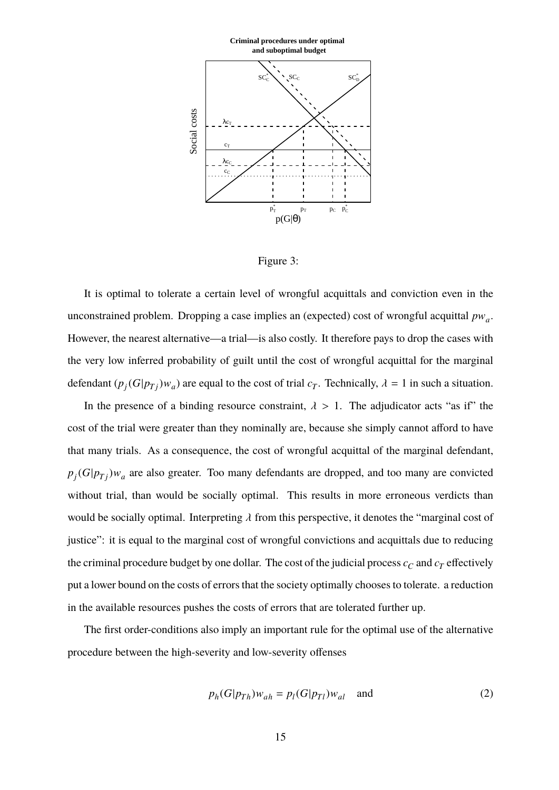

Figure 3:

It is optimal to tolerate a certain level of wrongful acquittals and conviction even in the unconstrained problem. Dropping a case implies an (expected) cost of wrongful acquittal *p*w*<sup>a</sup>* . However, the nearest alternative—a trial—is also costly. It therefore pays to drop the cases with the very low inferred probability of guilt until the cost of wrongful acquittal for the marginal defendant  $(p_j(G|p_{Tj})w_a)$  are equal to the cost of trial  $c_T$ . Technically,  $\lambda = 1$  in such a situation.

In the presence of a binding resource constraint,  $\lambda > 1$ . The adjudicator acts "as if" the cost of the trial were greater than they nominally are, because she simply cannot afford to have that many trials. As a consequence, the cost of wrongful acquittal of the marginal defendant,  $p_j$ ( $G|p_{Tj}$ ) $w_a$  are also greater. Too many defendants are dropped, and too many are convicted without trial, than would be socially optimal. This results in more erroneous verdicts than would be socially optimal. Interpreting  $\lambda$  from this perspective, it denotes the "marginal cost of justice": it is equal to the marginal cost of wrongful convictions and acquittals due to reducing the criminal procedure budget by one dollar. The cost of the judicial process  $c_C$  and  $c_T$  effectively put a lower bound on the costs of errors that the society optimally chooses to tolerate. a reduction in the available resources pushes the costs of errors that are tolerated further up.

The first order-conditions also imply an important rule for the optimal use of the alternative procedure between the high-severity and low-severity offenses

$$
p_h(G|p_{Th})w_{ah} = p_l(G|p_{Tl})w_{al} \quad \text{and} \tag{2}
$$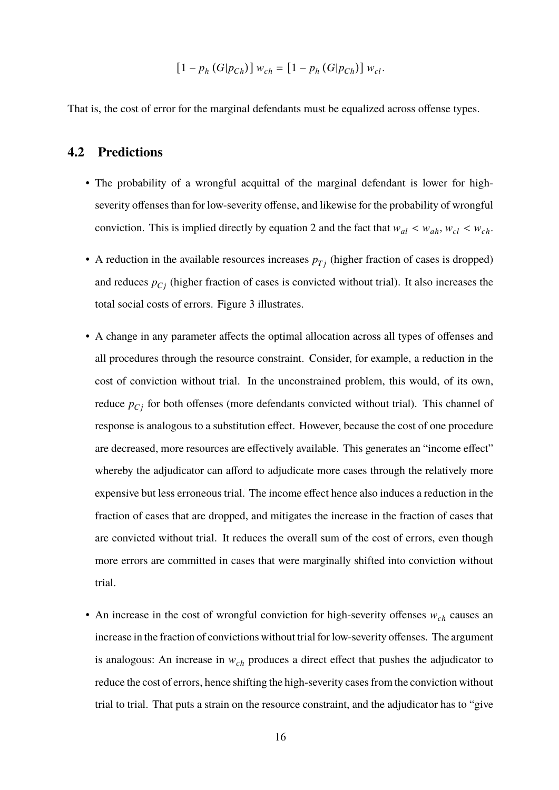$$
[1 - p_h(G|p_{Ch})] w_{ch} = [1 - p_h(G|p_{Ch})] w_{cl}.
$$

That is, the cost of error for the marginal defendants must be equalized across offense types.

## **4.2 Predictions**

- The probability of a wrongful acquittal of the marginal defendant is lower for highseverity offenses than for low-severity offense, and likewise for the probability of wrongful conviction. This is implied directly by equation 2 and the fact that  $w_{al} < w_{ah}$ ,  $w_{cl} < w_{ch}$ .
- A reduction in the available resources increases  $p_{Tj}$  (higher fraction of cases is dropped) and reduces  $p_{Ci}$  (higher fraction of cases is convicted without trial). It also increases the total social costs of errors. Figure 3 illustrates.
- A change in any parameter affects the optimal allocation across all types of offenses and all procedures through the resource constraint. Consider, for example, a reduction in the cost of conviction without trial. In the unconstrained problem, this would, of its own, reduce  $p_{Cj}$  for both offenses (more defendants convicted without trial). This channel of response is analogous to a substitution effect. However, because the cost of one procedure are decreased, more resources are effectively available. This generates an "income effect" whereby the adjudicator can afford to adjudicate more cases through the relatively more expensive but less erroneous trial. The income effect hence also induces a reduction in the fraction of cases that are dropped, and mitigates the increase in the fraction of cases that are convicted without trial. It reduces the overall sum of the cost of errors, even though more errors are committed in cases that were marginally shifted into conviction without trial.
- An increase in the cost of wrongful conviction for high-severity offenses w*ch* causes an increase in the fraction of convictions without trial for low-severity offenses. The argument is analogous: An increase in w*ch* produces a direct effect that pushes the adjudicator to reduce the cost of errors, hence shifting the high-severity cases from the conviction without trial to trial. That puts a strain on the resource constraint, and the adjudicator has to "give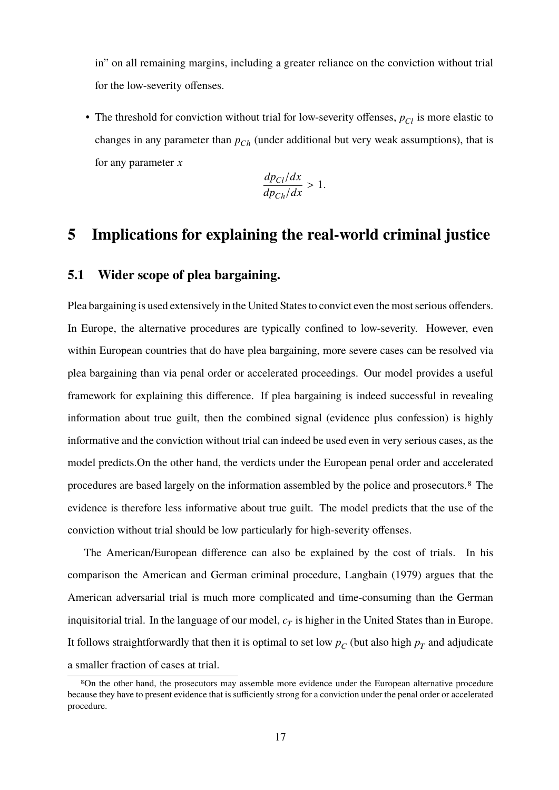in" on all remaining margins, including a greater reliance on the conviction without trial for the low-severity offenses.

• The threshold for conviction without trial for low-severity offenses,  $p_{Cl}$  is more elastic to changes in any parameter than *pCh* (under additional but very weak assumptions), that is for any parameter *x*

$$
\frac{dp_{Cl}/dx}{dp_{Ch}/dx} > 1.
$$

## **5 Implications for explaining the real-world criminal justice**

## **5.1 Wider scope of plea bargaining.**

Plea bargaining is used extensively in the United States to convict even the most serious offenders. In Europe, the alternative procedures are typically confined to low-severity. However, even within European countries that do have plea bargaining, more severe cases can be resolved via plea bargaining than via penal order or accelerated proceedings. Our model provides a useful framework for explaining this difference. If plea bargaining is indeed successful in revealing information about true guilt, then the combined signal (evidence plus confession) is highly informative and the conviction without trial can indeed be used even in very serious cases, as the model predicts.On the other hand, the verdicts under the European penal order and accelerated procedures are based largely on the information assembled by the police and prosecutors.8 The evidence is therefore less informative about true guilt. The model predicts that the use of the conviction without trial should be low particularly for high-severity offenses.

The American/European difference can also be explained by the cost of trials. In his comparison the American and German criminal procedure, Langbain (1979) argues that the American adversarial trial is much more complicated and time-consuming than the German inquisitorial trial. In the language of our model,  $c_T$  is higher in the United States than in Europe. It follows straightforwardly that then it is optimal to set low  $p_C$  (but also high  $p_T$  and adjudicate a smaller fraction of cases at trial.

<sup>8</sup>On the other hand, the prosecutors may assemble more evidence under the European alternative procedure because they have to present evidence that is sufficiently strong for a conviction under the penal order or accelerated procedure.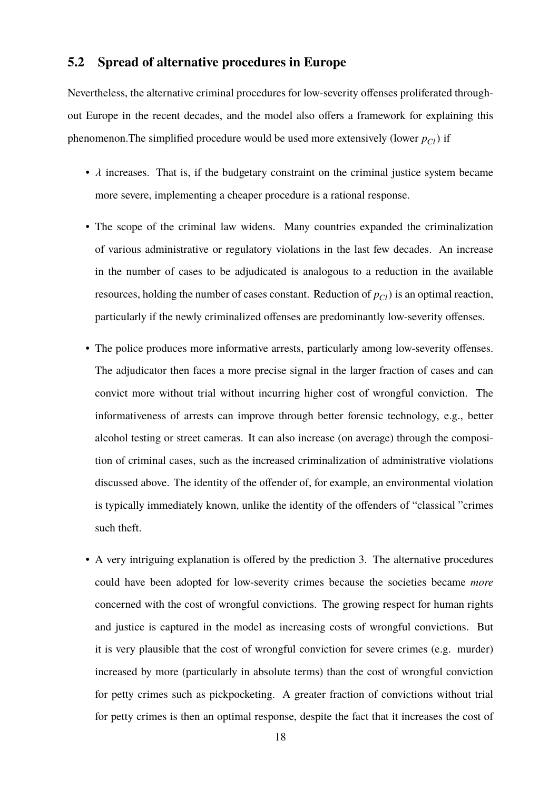## **5.2 Spread of alternative procedures in Europe**

Nevertheless, the alternative criminal procedures for low-severity offenses proliferated throughout Europe in the recent decades, and the model also offers a framework for explaining this phenomenon. The simplified procedure would be used more extensively (lower  $p_{Cl}$ ) if

- $\lambda$  increases. That is, if the budgetary constraint on the criminal justice system became more severe, implementing a cheaper procedure is a rational response.
- The scope of the criminal law widens. Many countries expanded the criminalization of various administrative or regulatory violations in the last few decades. An increase in the number of cases to be adjudicated is analogous to a reduction in the available resources, holding the number of cases constant. Reduction of  $p_{Cl}$ ) is an optimal reaction, particularly if the newly criminalized offenses are predominantly low-severity offenses.
- The police produces more informative arrests, particularly among low-severity offenses. The adjudicator then faces a more precise signal in the larger fraction of cases and can convict more without trial without incurring higher cost of wrongful conviction. The informativeness of arrests can improve through better forensic technology, e.g., better alcohol testing or street cameras. It can also increase (on average) through the composition of criminal cases, such as the increased criminalization of administrative violations discussed above. The identity of the offender of, for example, an environmental violation is typically immediately known, unlike the identity of the offenders of "classical "crimes such theft.
- A very intriguing explanation is offered by the prediction 3. The alternative procedures could have been adopted for low-severity crimes because the societies became *more* concerned with the cost of wrongful convictions. The growing respect for human rights and justice is captured in the model as increasing costs of wrongful convictions. But it is very plausible that the cost of wrongful conviction for severe crimes (e.g. murder) increased by more (particularly in absolute terms) than the cost of wrongful conviction for petty crimes such as pickpocketing. A greater fraction of convictions without trial for petty crimes is then an optimal response, despite the fact that it increases the cost of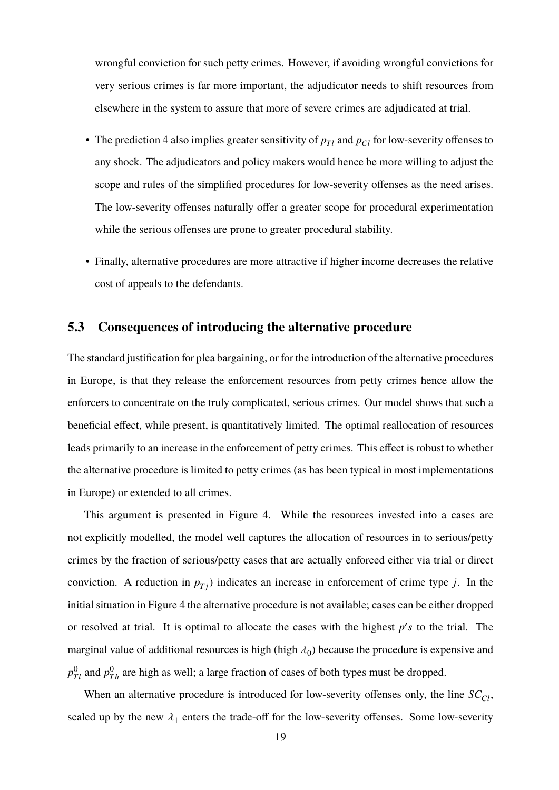wrongful conviction for such petty crimes. However, if avoiding wrongful convictions for very serious crimes is far more important, the adjudicator needs to shift resources from elsewhere in the system to assure that more of severe crimes are adjudicated at trial.

- The prediction 4 also implies greater sensitivity of  $p_{Tl}$  and  $p_{Cl}$  for low-severity offenses to any shock. The adjudicators and policy makers would hence be more willing to adjust the scope and rules of the simplified procedures for low-severity offenses as the need arises. The low-severity offenses naturally offer a greater scope for procedural experimentation while the serious offenses are prone to greater procedural stability.
- Finally, alternative procedures are more attractive if higher income decreases the relative cost of appeals to the defendants.

## **5.3 Consequences of introducing the alternative procedure**

The standard justification for plea bargaining, or for the introduction of the alternative procedures in Europe, is that they release the enforcement resources from petty crimes hence allow the enforcers to concentrate on the truly complicated, serious crimes. Our model shows that such a beneficial effect, while present, is quantitatively limited. The optimal reallocation of resources leads primarily to an increase in the enforcement of petty crimes. This effect is robust to whether the alternative procedure is limited to petty crimes (as has been typical in most implementations in Europe) or extended to all crimes.

This argument is presented in Figure 4. While the resources invested into a cases are not explicitly modelled, the model well captures the allocation of resources in to serious/petty crimes by the fraction of serious/petty cases that are actually enforced either via trial or direct conviction. A reduction in  $p_{Tj}$ ) indicates an increase in enforcement of crime type *j*. In the initial situation in Figure 4 the alternative procedure is not available; cases can be either dropped or resolved at trial. It is optimal to allocate the cases with the highest  $p's$  to the trial. The marginal value of additional resources is high (high  $\lambda_0$ ) because the procedure is expensive and  $p_{Tl}^0$  and  $p_{Th}^0$  are high as well; a large fraction of cases of both types must be dropped.

When an alternative procedure is introduced for low-severity offenses only, the line  $SC<sub>CI</sub>$ , scaled up by the new  $\lambda_1$  enters the trade-off for the low-severity offenses. Some low-severity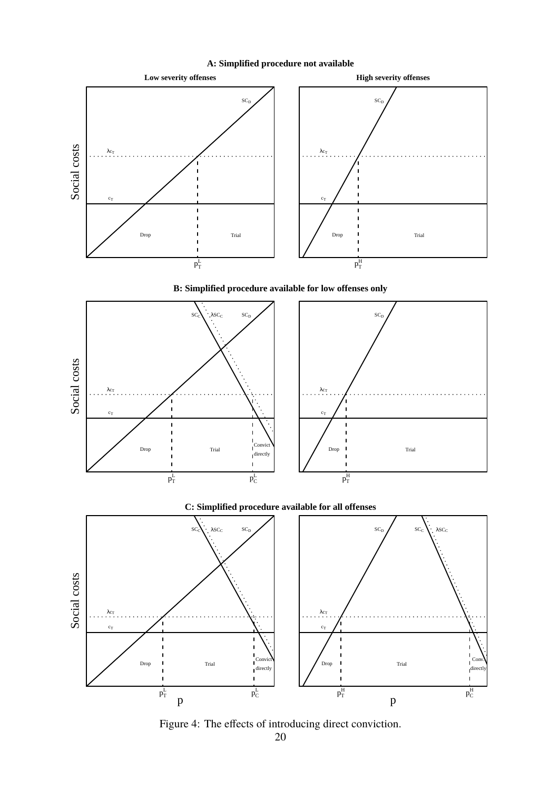

**A: Simplified procedure not available**

**B: Simplified procedure available for low offenses only**



#### **C: Simplified procedure available for all offenses**



Figure 4: The effects of introducing direct conviction.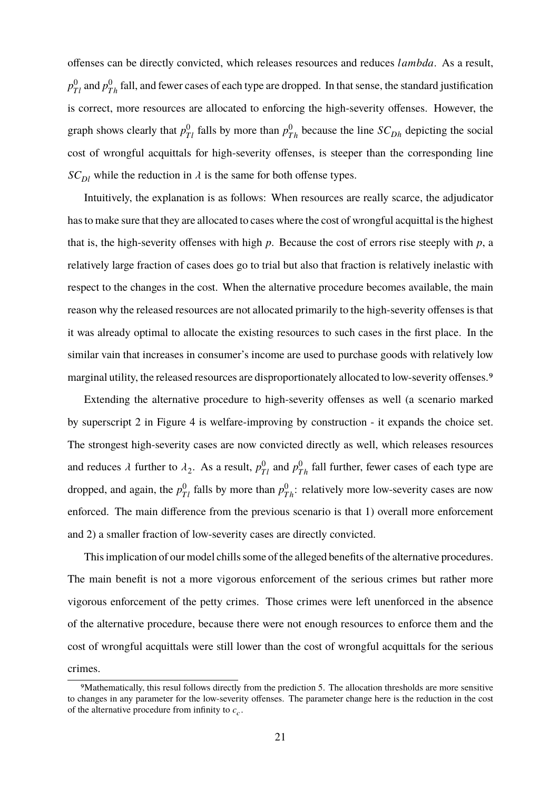offenses can be directly convicted, which releases resources and reduces *lambda*. As a result,  $p_{Tl}^0$  and  $p_{Th}^0$  fall, and fewer cases of each type are dropped. In that sense, the standard justification is correct, more resources are allocated to enforcing the high-severity offenses. However, the graph shows clearly that  $p_{Tl}^0$  falls by more than  $p_{Th}^0$  because the line  $SC_{Dh}$  depicting the social cost of wrongful acquittals for high-severity offenses, is steeper than the corresponding line  $SC_{DI}$  while the reduction in  $\lambda$  is the same for both offense types.

Intuitively, the explanation is as follows: When resources are really scarce, the adjudicator has to make sure that they are allocated to cases where the cost of wrongful acquittal is the highest that is, the high-severity offenses with high *p*. Because the cost of errors rise steeply with *p*, a relatively large fraction of cases does go to trial but also that fraction is relatively inelastic with respect to the changes in the cost. When the alternative procedure becomes available, the main reason why the released resources are not allocated primarily to the high-severity offenses is that it was already optimal to allocate the existing resources to such cases in the first place. In the similar vain that increases in consumer's income are used to purchase goods with relatively low marginal utility, the released resources are disproportionately allocated to low-severity offenses.<sup>9</sup>

Extending the alternative procedure to high-severity offenses as well (a scenario marked by superscript 2 in Figure 4 is welfare-improving by construction - it expands the choice set. The strongest high-severity cases are now convicted directly as well, which releases resources and reduces  $\lambda$  further to  $\lambda_2$ . As a result,  $p_{Tl}^0$  and  $p_{Th}^0$  fall further, fewer cases of each type are dropped, and again, the  $p_{Tl}^0$  falls by more than  $p_{Th}^0$ : relatively more low-severity cases are now enforced. The main difference from the previous scenario is that 1) overall more enforcement and 2) a smaller fraction of low-severity cases are directly convicted.

This implication of our model chills some of the alleged benefits of the alternative procedures. The main benefit is not a more vigorous enforcement of the serious crimes but rather more vigorous enforcement of the petty crimes. Those crimes were left unenforced in the absence of the alternative procedure, because there were not enough resources to enforce them and the cost of wrongful acquittals were still lower than the cost of wrongful acquittals for the serious crimes.

<sup>9</sup>Mathematically, this resul follows directly from the prediction 5. The allocation thresholds are more sensitive to changes in any parameter for the low-severity offenses. The parameter change here is the reduction in the cost of the alternative procedure from infinity to  $c_c$ .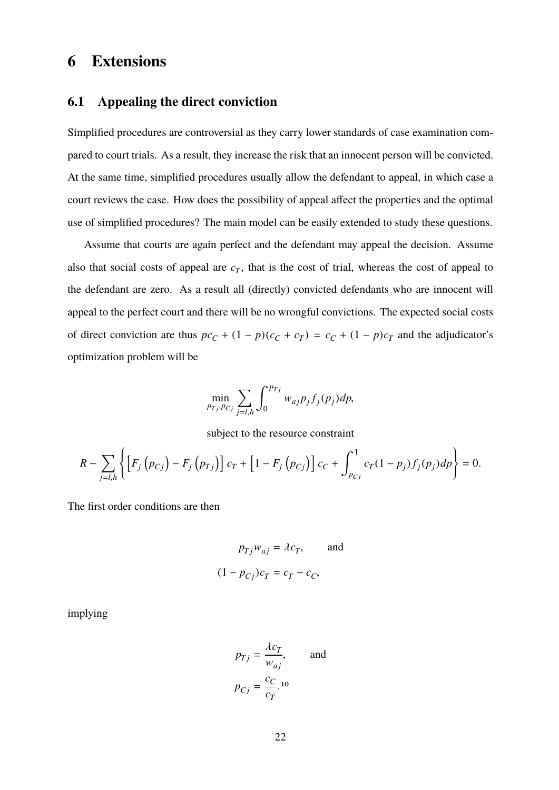## **6 Extensions**

#### **6.1 Appealing the direct conviction**

Simplified procedures are controversial as they carry lower standards of case examination compared to court trials. As a result, they increase the risk that an innocent person will be convicted. At the same time, simplified procedures usually allow the defendant to appeal, in which case a court reviews the case. How does the possibility of appeal affect the properties and the optimal use of simplified procedures? The main model can be easily extended to study these questions.

Assume that courts are again perfect and the defendant may appeal the decision. Assume also that social costs of appeal are  $c_T$ , that is the cost of trial, whereas the cost of appeal to the defendant are zero. As a result all (directly) convicted defendants who are innocent will appeal to the perfect court and there will be no wrongful convictions. The expected social costs of direct conviction are thus  $pc_C + (1 - p)(c_C + c_T) = c_C + (1 - p)c_T$  and the adjudicator's optimization problem will be

$$
\min_{p_{Tj}, p_{Cj}} \sum_{j=l,h} \int_0^{p_{Tj}} w_{aj} p_j f_j(p_j) dp,
$$

subject to the resource constraint

$$
R - \sum_{j=l,h} \left\{ \left[ F_j \left( p_{Cj} \right) - F_j \left( p_{Tj} \right) \right] c_T + \left[ 1 - F_j \left( p_{Cj} \right) \right] c_C + \int_{p_{Cj}}^1 c_T (1 - p_j) f_j(p_j) dp \right\} = 0.
$$

The first order conditions are then

$$
p_{Tj}w_{aj} = \lambda c_T, \qquad \text{and}
$$

$$
(1 - p_{Cj})c_T = c_T - c_C,
$$

implying

$$
p_{Tj} = \frac{\lambda c_T}{w_{aj}}, \quad \text{and}
$$

$$
p_{Cj} = \frac{c_C}{c_T}.^{10}
$$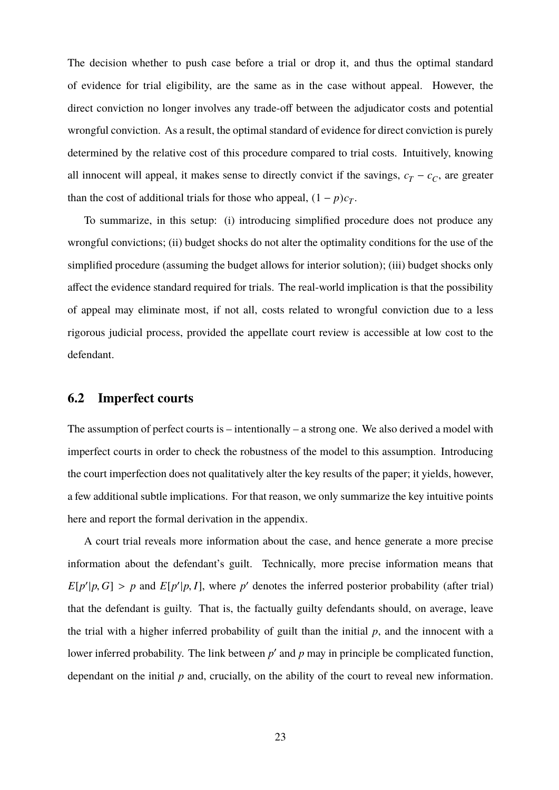The decision whether to push case before a trial or drop it, and thus the optimal standard of evidence for trial eligibility, are the same as in the case without appeal. However, the direct conviction no longer involves any trade-off between the adjudicator costs and potential wrongful conviction. As a result, the optimal standard of evidence for direct conviction is purely determined by the relative cost of this procedure compared to trial costs. Intuitively, knowing all innocent will appeal, it makes sense to directly convict if the savings,  $c_T - c_C$ , are greater than the cost of additional trials for those who appeal,  $(1 - p)c_T$ .

To summarize, in this setup: (i) introducing simplified procedure does not produce any wrongful convictions; (ii) budget shocks do not alter the optimality conditions for the use of the simplified procedure (assuming the budget allows for interior solution); (iii) budget shocks only affect the evidence standard required for trials. The real-world implication is that the possibility of appeal may eliminate most, if not all, costs related to wrongful conviction due to a less rigorous judicial process, provided the appellate court review is accessible at low cost to the defendant.

#### **6.2 Imperfect courts**

The assumption of perfect courts is – intentionally – a strong one. We also derived a model with imperfect courts in order to check the robustness of the model to this assumption. Introducing the court imperfection does not qualitatively alter the key results of the paper; it yields, however, a few additional subtle implications. For that reason, we only summarize the key intuitive points here and report the formal derivation in the appendix.

A court trial reveals more information about the case, and hence generate a more precise information about the defendant's guilt. Technically, more precise information means that  $E[p'|p, G] > p$  and  $E[p'|p, I]$ , where  $p'$  denotes the inferred posterior probability (after trial) that the defendant is guilty. That is, the factually guilty defendants should, on average, leave the trial with a higher inferred probability of guilt than the initial *p*, and the innocent with a lower inferred probability. The link between  $p'$  and  $p$  may in principle be complicated function, dependant on the initial *p* and, crucially, on the ability of the court to reveal new information.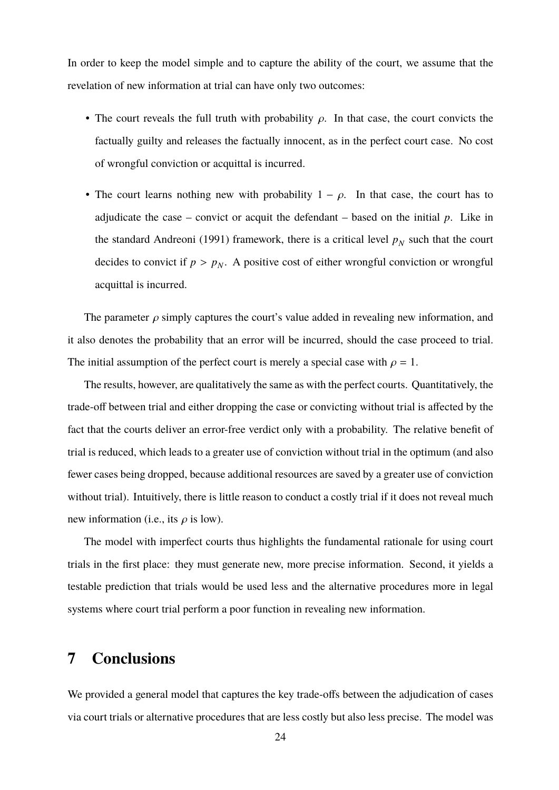In order to keep the model simple and to capture the ability of the court, we assume that the revelation of new information at trial can have only two outcomes:

- The court reveals the full truth with probability  $\rho$ . In that case, the court convicts the factually guilty and releases the factually innocent, as in the perfect court case. No cost of wrongful conviction or acquittal is incurred.
- The court learns nothing new with probability  $1 \rho$ . In that case, the court has to adjudicate the case – convict or acquit the defendant – based on the initial  $p$ . Like in the standard Andreoni (1991) framework, there is a critical level  $p<sub>N</sub>$  such that the court decides to convict if  $p > p_N$ . A positive cost of either wrongful conviction or wrongful acquittal is incurred.

The parameter  $\rho$  simply captures the court's value added in revealing new information, and it also denotes the probability that an error will be incurred, should the case proceed to trial. The initial assumption of the perfect court is merely a special case with  $\rho = 1$ .

The results, however, are qualitatively the same as with the perfect courts. Quantitatively, the trade-off between trial and either dropping the case or convicting without trial is affected by the fact that the courts deliver an error-free verdict only with a probability. The relative benefit of trial is reduced, which leads to a greater use of conviction without trial in the optimum (and also fewer cases being dropped, because additional resources are saved by a greater use of conviction without trial). Intuitively, there is little reason to conduct a costly trial if it does not reveal much new information (i.e., its  $\rho$  is low).

The model with imperfect courts thus highlights the fundamental rationale for using court trials in the first place: they must generate new, more precise information. Second, it yields a testable prediction that trials would be used less and the alternative procedures more in legal systems where court trial perform a poor function in revealing new information.

## **7 Conclusions**

We provided a general model that captures the key trade-offs between the adjudication of cases via court trials or alternative procedures that are less costly but also less precise. The model was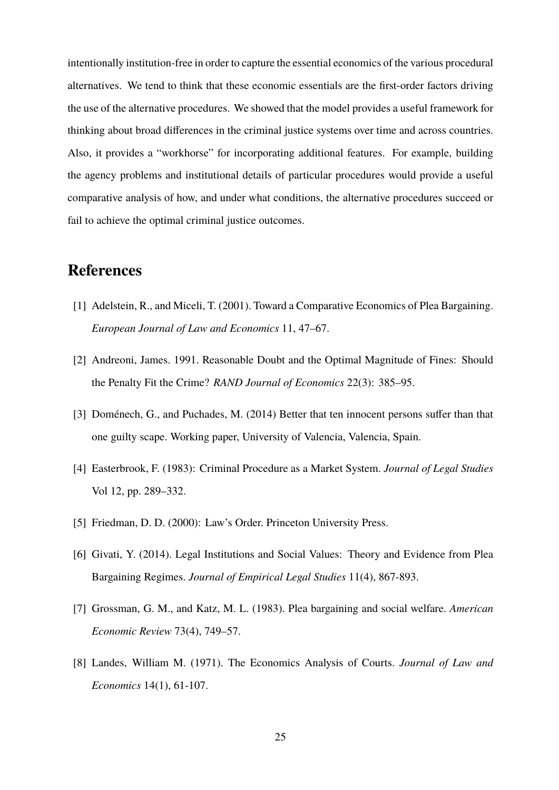intentionally institution-free in order to capture the essential economics of the various procedural alternatives. We tend to think that these economic essentials are the first-order factors driving the use of the alternative procedures. We showed that the model provides a useful framework for thinking about broad differences in the criminal justice systems over time and across countries. Also, it provides a "workhorse" for incorporating additional features. For example, building the agency problems and institutional details of particular procedures would provide a useful comparative analysis of how, and under what conditions, the alternative procedures succeed or fail to achieve the optimal criminal justice outcomes.

## **References**

- [1] Adelstein, R., and Miceli, T. (2001). Toward a Comparative Economics of Plea Bargaining. *European Journal of Law and Economics* 11, 47–67.
- [2] Andreoni, James. 1991. Reasonable Doubt and the Optimal Magnitude of Fines: Should the Penalty Fit the Crime? *RAND Journal of Economics* 22(3): 385–95.
- [3] Doménech, G., and Puchades, M. (2014) Better that ten innocent persons suffer than that one guilty scape. Working paper, University of Valencia, Valencia, Spain.
- [4] Easterbrook, F. (1983): Criminal Procedure as a Market System. *Journal of Legal Studies* Vol 12, pp. 289–332.
- [5] Friedman, D. D. (2000): Law's Order. Princeton University Press.
- [6] Givati, Y. (2014). Legal Institutions and Social Values: Theory and Evidence from Plea Bargaining Regimes. *Journal of Empirical Legal Studies* 11(4), 867-893.
- [7] Grossman, G. M., and Katz, M. L. (1983). Plea bargaining and social welfare. *American Economic Review* 73(4), 749–57.
- [8] Landes, William M. (1971). The Economics Analysis of Courts. *Journal of Law and Economics* 14(1), 61-107.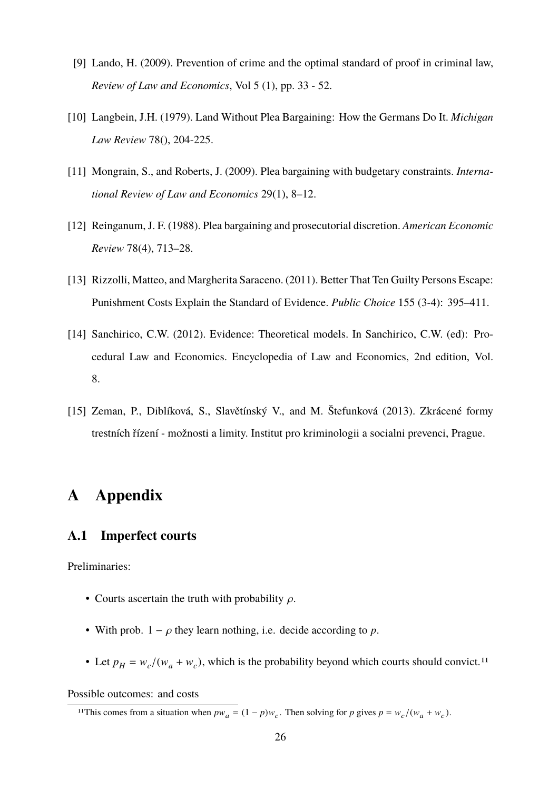- [9] Lando, H. (2009). Prevention of crime and the optimal standard of proof in criminal law, *Review of Law and Economics*, Vol 5 (1), pp. 33 - 52.
- [10] Langbein, J.H. (1979). Land Without Plea Bargaining: How the Germans Do It. *Michigan Law Review* 78(), 204-225.
- [11] Mongrain, S., and Roberts, J. (2009). Plea bargaining with budgetary constraints. *International Review of Law and Economics* 29(1), 8–12.
- [12] Reinganum, J. F. (1988). Plea bargaining and prosecutorial discretion. *American Economic Review* 78(4), 713–28.
- [13] Rizzolli, Matteo, and Margherita Saraceno. (2011). Better That Ten Guilty Persons Escape: Punishment Costs Explain the Standard of Evidence. *Public Choice* 155 (3-4): 395–411.
- [14] Sanchirico, C.W. (2012). Evidence: Theoretical models. In Sanchirico, C.W. (ed): Procedural Law and Economics. Encyclopedia of Law and Economics, 2nd edition, Vol. 8.
- [15] Zeman, P., Diblíková, S., Slavětínský V., and M. Štefunková (2013). Zkrácené formy trestních řízení - možnosti a limity. Institut pro kriminologii a socialni prevenci, Prague.

## **A Appendix**

#### **A.1 Imperfect courts**

Preliminaries:

- Courts ascertain the truth with probability  $\rho$ .
- With prob.  $1 \rho$  they learn nothing, i.e. decide according to  $p$ .
- Let  $p_H = w_c/(w_a + w_c)$ , which is the probability beyond which courts should convict.<sup>11</sup>

Possible outcomes: and costs

<sup>&</sup>lt;sup>11</sup>This comes from a situation when  $pw_a = (1 - p)w_c$ . Then solving for *p* gives  $p = w_c/(w_a + w_c)$ .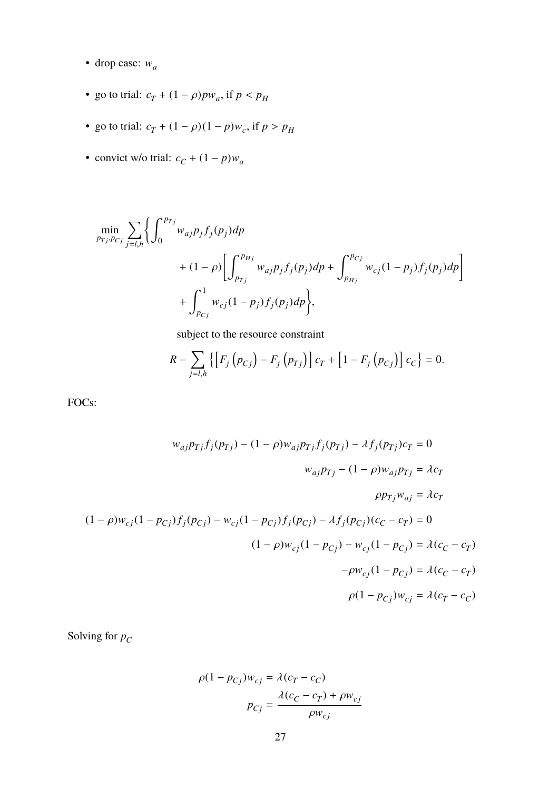- drop case: w*<sup>a</sup>*
- go to trial:  $c_T + (1 \rho) p w_a$ , if  $p < p_H$
- go to trial:  $c_T + (1 \rho)(1 p)w_c$ , if  $p > p_H$
- convict w/o trial:  $c_C + (1 p)w_a$

$$
\begin{aligned}\n&\min_{p_{Tj},p_{Cj}} \sum_{j=l,h} \left\{ \int_0^{p_{Tj}} w_{aj} p_j f_j(p_j) dp \\
&+ (1-\rho) \left[ \int_{p_{Tj}}^{p_{Hj}} w_{aj} p_j f_j(p_j) dp + \int_{p_{Hj}}^{p_{Cj}} w_{cj} (1-p_j) f_j(p_j) dp \right] \\
&+ \int_{p_{Cj}}^1 w_{cj} (1-p_j) f_j(p_j) dp \right\},\n\end{aligned}
$$

subject to the resource constraint

$$
R - \sum_{j=l,h} \{ \left[ F_j(p_{Cj}) - F_j(p_{Tj}) \right] c_T + \left[ 1 - F_j(p_{Cj}) \right] c_C \} = 0.
$$

FOCs:

$$
w_{aj}p_{Tj}f_j(p_{Tj}) - (1 - \rho)w_{aj}p_{Tj}f_j(p_{Tj}) - \lambda f_j(p_{Tj})c_T = 0
$$
  

$$
w_{aj}p_{Tj} - (1 - \rho)w_{aj}p_{Tj} = \lambda c_T
$$
  

$$
\rho p_{Tj}w_{aj} = \lambda c_T
$$
  

$$
(1 - \rho)w_{cj}(1 - p_{cj})f_j(p_{cj}) - w_{cj}(1 - p_{cj})f_j(p_{cj}) - \lambda f_j(p_{cj})(c_C - c_T) = 0
$$
  

$$
(1 - \rho)w_{cj}(1 - p_{cj}) - w_{cj}(1 - p_{cj}) = \lambda(c_C - c_T)
$$
  

$$
-\rho w_{cj}(1 - p_{cj}) = \lambda(c_T - c_C)
$$
  

$$
\rho(1 - p_{cj})w_{cj} = \lambda(c_T - c_C)
$$

Solving for *p<sup>C</sup>*

$$
\rho(1 - p_{Cj})w_{cj} = \lambda(c_T - c_C)
$$

$$
p_{Cj} = \frac{\lambda(c_C - c_T) + \rho w_{cj}}{\rho w_{cj}}
$$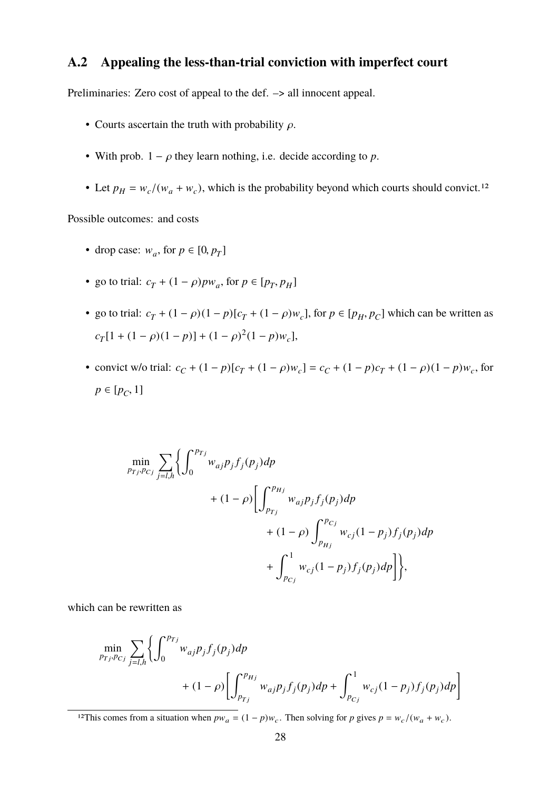## **A.2 Appealing the less-than-trial conviction with imperfect court**

Preliminaries: Zero cost of appeal to the def. –> all innocent appeal.

- Courts ascertain the truth with probability  $\rho$ .
- With prob.  $1 \rho$  they learn nothing, i.e. decide according to  $p$ .
- Let  $p_H = w_c/(w_a + w_c)$ , which is the probability beyond which courts should convict.<sup>12</sup>

Possible outcomes: and costs

- drop case:  $w_a$ , for  $p \in [0, p_T]$
- go to trial:  $c_T + (1 \rho) p w_a$ , for  $p \in [p_T, p_H]$
- go to trial:  $c_T + (1 \rho)(1 p)[c_T + (1 \rho)w_c]$ , for  $p \in [p_H, p_C]$  which can be written as  $c_T[1 + (1 - \rho)(1 - p)] + (1 - \rho)^2(1 - p)w_c$
- convict w/o trial:  $c_C + (1 p)[c_T + (1 \rho)w_c] = c_C + (1 p)c_T + (1 \rho)(1 p)w_c$ , for  $p \in [p_C, 1]$

$$
\begin{aligned}\n&\min_{p_{Tj},p_{Cj}} \sum_{j=l,h} \left\{ \int_0^{p_{Tj}} w_{aj} p_j f_j(p_j) dp \\
&+ (1-\rho) \left[ \int_{p_{Tj}}^{p_{Hj}} w_{aj} p_j f_j(p_j) dp \\
&+ (1-\rho) \int_{p_{Hj}}^{p_{Cj}} w_{cj} (1-p_j) f_j(p_j) dp \\
&+ \int_{p_{Cj}}^1 w_{cj} (1-p_j) f_j(p_j) dp \right] \right\},\n\end{aligned}
$$

which can be rewritten as

$$
\min_{p_{Tj}, p_{Cj}} \sum_{j=l,h} \left\{ \int_0^{p_{Tj}} w_{aj} p_j f_j(p_j) dp + (1-\rho) \left[ \int_{p_{Tj}}^{p_{Hj}} w_{aj} p_j f_j(p_j) dp + \int_{p_{Cj}}^1 w_{cj} (1-p_j) f_j(p_j) dp \right] \right\}
$$

<sup>12</sup>This comes from a situation when  $pw_a = (1 - p)w_c$ . Then solving for *p* gives  $p = w_c/(w_a + w_c)$ .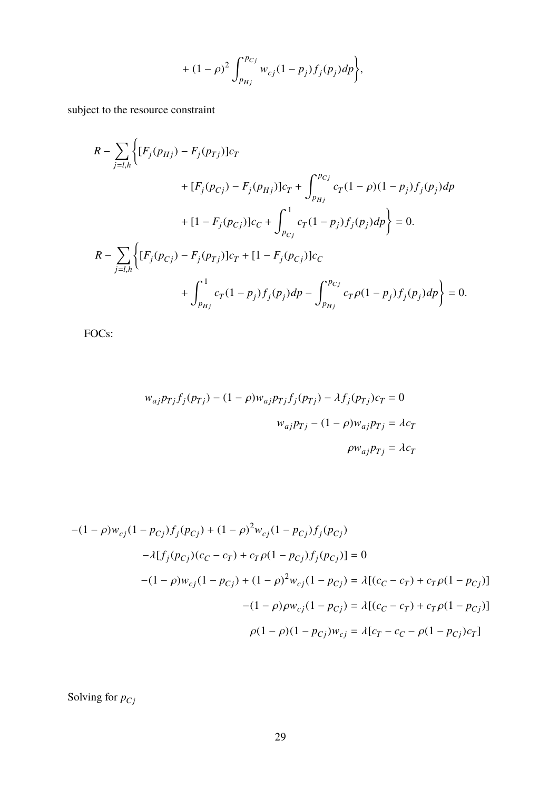+ 
$$
(1 - \rho)^2 \int_{p_{Hj}}^{p_{Cj}} w_{cj} (1 - p_j) f_j(p_j) dp
$$
,

subject to the resource constraint

$$
R - \sum_{j=l,h} \left\{ [F_j(p_{Hj}) - F_j(p_{Tj})]c_T + \int_{p_{Hj}}^{p_{Cj}} c_T (1 - \rho)(1 - p_j) f_j(p_j) dp \right. \\ \left. + [1 - F_j(p_{Cj})]c_C + \int_{p_{Cj}}^1 c_T (1 - p_j) f_j(p_j) dp \right\} = 0.
$$
  

$$
R - \sum_{j=l,h} \left\{ [F_j(p_{Cj}) - F_j(p_{Tj})]c_T + [1 - F_j(p_{Cj})]c_C + \int_{p_{Cj}}^{p_{Cj}} c_T (1 - p_j) f_j(p_j) dp \right\} = 0.
$$

FOCs:

$$
w_{aj}p_{Tj}f_j(p_{Tj}) - (1 - \rho)w_{aj}p_{Tj}f_j(p_{Tj}) - \lambda f_j(p_{Tj})c_T = 0
$$
  

$$
w_{aj}p_{Tj} - (1 - \rho)w_{aj}p_{Tj} = \lambda c_T
$$
  

$$
\rho w_{aj}p_{Tj} = \lambda c_T
$$

$$
-(1 - \rho)w_{cj}(1 - p_{cj})f_j(p_{cj}) + (1 - \rho)^2 w_{cj}(1 - p_{cj})f_j(p_{cj})
$$
  
\n
$$
- \lambda[f_j(p_{cj})(c_C - c_T) + c_T \rho (1 - p_{cj})f_j(p_{cj})] = 0
$$
  
\n
$$
-(1 - \rho)w_{cj}(1 - p_{cj}) + (1 - \rho)^2 w_{cj}(1 - p_{cj}) = \lambda[(c_C - c_T) + c_T \rho (1 - p_{cj})]
$$
  
\n
$$
-(1 - \rho)\rho w_{cj}(1 - p_{cj}) = \lambda[(c_C - c_T) + c_T \rho (1 - p_{cj})]
$$
  
\n
$$
\rho(1 - \rho)(1 - p_{cj})w_{cj} = \lambda[c_T - c_C - \rho (1 - p_{cj})c_T]
$$

Solving for  $p_{Cj}$